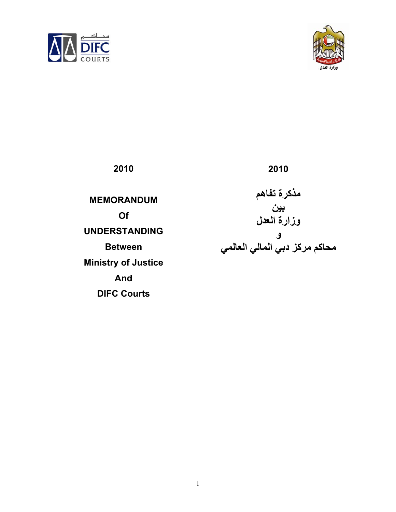



| 2010                                                                                                                         | 2010                                                                    |
|------------------------------------------------------------------------------------------------------------------------------|-------------------------------------------------------------------------|
| <b>MEMORANDUM</b><br>Of<br><b>UNDERSTANDING</b><br><b>Between</b><br><b>Ministry of Justice</b><br>And<br><b>DIFC Courts</b> | مذكرة تفاهم<br>ٻين<br>وزارة العدل<br>ٯ<br>محاكم مركز دبى المالى العالمى |
|                                                                                                                              |                                                                         |

1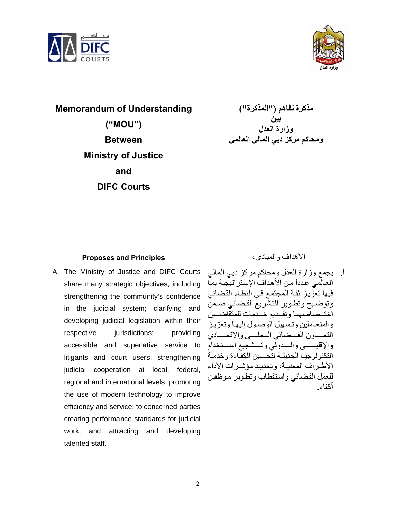



**Memorandum of Understanding ("MOU") Between Ministry of Justice and DIFC Courts** 

**مذآرة تفاهم ("المذآرة") بين وزارة العدل ومحاآم مرآز دبي المالي العالمي**

## **Proposes and Principles** والمبادىء الأهداف

A. The Ministry of Justice and DIFC Courts share many strategic objectives, including strengthening the community's confidence in the judicial system; clarifying and developing judicial legislation within their respective jurisdictions; providing accessible and superlative service to litigants and court users, strengthening judicial cooperation at local, federal, regional and international levels; promoting the use of modern technology to improve efficiency and service; to concerned parties creating performance standards for judicial work; and attracting and developing talented staff.

أ. يجمع وزارة العدل ومحاكم مركز دبي المالي العالمي عدداً من الأهداف الإستر اتيجية بما فيها تعزيز ثقة المجتمع في النظام القضائي وتوضيح وتطوير التشريع القضائي ضمن اختــصاصهما و تقــديم خــدمات للمتقاضــين والمتعـاملين وتسهيل الوصـول إليهـا وتعزيز التعساون القسضائي المحلسي والاتحسادي والإقليمسي والسدولي وتسشجيع اسستخدام التكنولوجيـا الحديثـة لتحسين الكفاءة وخدمـة الأطر اف المعنيـة، وتحديـد مؤشـر ات الأداء للعمل القضائي واستقطاب وتطوير موظفين أكفاء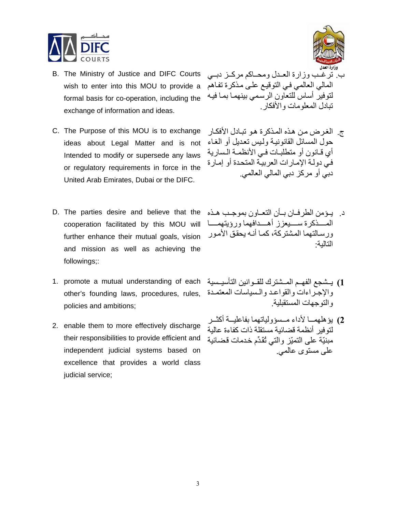

- B. The Ministry of Justice and DIFC Courts wish to enter into this MOU to provide a formal basis for co-operation, including the exchange of information and ideas.
- C. The Purpose of this MOU is to exchange ideas about Legal Matter and is not Intended to modify or supersede any laws or regulatory requirements in force in the United Arab Emirates, Dubai or the DIFC.
- D. The parties desire and believe that the cooperation facilitated by this MOU will further enhance their mutual goals, vision and mission as well as achieving the followings;:
- 1. promote a mutual understanding of each يستجع الفهـم المــشترك للقــوانين التأسيــسية 1 والإجراءات والقواعد والسياسات المعتمـدة ,other's founding laws, procedures, rules policies and ambitions;
- 2. enable them to more effectively discharge their responsibilities to provide efficient and independent judicial systems based on excellence that provides a world class judicial service;



- ب. ترغب وزارة العـدل ومحـاكم مركـز دبـي المالي العالمي في التوقيع على مذكرة تفاهم لتوفير أساس للتعاون الرسمي بينهما بما فيه تبادل المعلومات والأفكار.
- ج. الغرض من هذه المذكرة هو تبادل الأفكار حول المسائل القانونية وليس تعديل أو الغاء أي قـانون أو متطلبـات فـي الأنظمـة الـسارية في دولـة الإمـارات العربيـة المتحدة أو إمـارة دبي أو مركز دبي المالي العالمي.
- د. يومن الطرفان بـأن التعـاون بموجب هـذه المسذكرة سسيعزز أهسدافهما ورؤيتهمسا ورسالتهما المشتركة، كمـا أنـه يحقق الأمور التالية :
- والتوجهات المستقبلية .
- **2)** يؤهلهمــا لأداء مــسؤولياتهما بفاعليــة أكثــر لتوفير أنظمة قضائية مستقلة ذات كفاءة عالية مبنيّة على التميّز والتي تُقَدِّم خدمات قضائية على مستوى عالمي .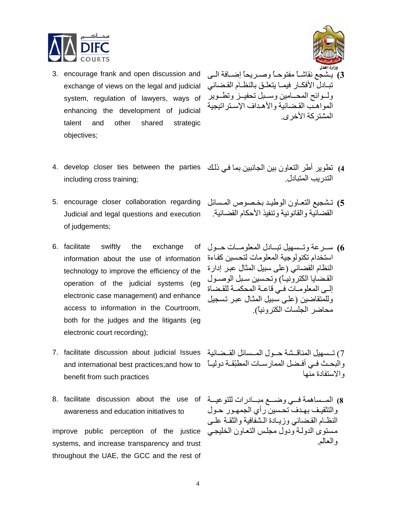

- 3. encourage frank and open discussion and exchange of views on the legal and judicial system, regulation of lawyers, ways of enhancing the development of judicial talent and other shared strategic objectives;
- 4. develop closer ties between the parties في ذلك 4. develop closer ties between the parties به تطوير أطر التعاون بين الجانبين بما في ذلك including cross training;
- Judicial and legal questions and execution of judgements;
- 6. facilitate swiftly the exchange of استخدام تكنولوجية المعلومات لتحسين كفـاءة information about the use of information i technology to improve the efficiency of the operation of the judicial systems (eg electronic case management) and enhance access to information in the Courtroom, both for the judges and the litigants (eg electronic court recording);
- 7) تــسهيل المناقــشة حــول المــسائل القــضائية 7. facilitate discussion about judicial Issues والبحث فـي أفـضل الممارســات المطبّقــة دوليــاً and international best practices;and how to benefit from such practices
- 8. facilitate discussion about the use of المــساهمة فــي وضـــع مبـــادرات للتوعيـــة awareness and education initiatives to

systems, and increase transparency and trust throughout the UAE, the GCC and the rest of

- $\overline{\phantom{a}}$ 3) يـشجع نقاشــاً مفتوحـاً وصــريحاً إضــافة الــي تبادل الأفكار فيمـا يتعلـق بالنظـام القـضائي ولسوائح المحسامين وسمبل تحفيل وتطموير المواهب القضائية والأهداف الإستراتيجية المشتر كة الأخر ي
- التدر بب المتبادل
- 5. encourage closer collaboration regarding كشجيع التعـاون الوطيـد بخـصوص المـسائل القضائية والقانونية وتنفيذ الأحكام القضائية .
	- **6)** سـرعة وتـسهيل تبـادل المعلومـات حـول النظام القضائي (على سبيل المثال عبر إدارة القضايا الكترونيـاً) وتحسين سـبل الوصـول إلى المعلومات في قاعة المحكمـة للقضاة وللمتقاضين (علي سبيل المثال عبر تسجيل محاضر الجلسات الكترونياً).

والاستفادة منها

improve public perception of the justice مستوى الدولـة ودول مجلس التعـاون الخليجـي والتثقيف بهدف تحسين رأي الجمهور حول النظ\م القضائي وزيبادة الشفافية والثقبة عليى والعالم.

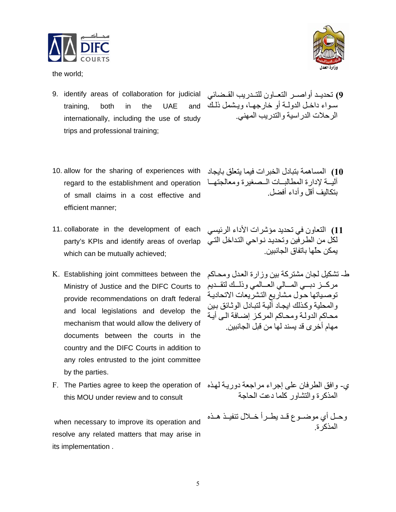

the world;

- 9) تحديـد أواصــر التعــاون للتــدريب القــضائي 19. identify areas of collaboration for judicial training, both in the UAE and internationally, including the use of study trips and professional training;
- 10. allow for the sharing of experiences with regard to the establishment and operation of small claims in a cost effective and efficient manner;
- 11. collaborate in the development of each لكل من الطرفين وتحديد نـواحي التداخل التـي party's KPIs and identify areas of overlap which can be mutually achieved;
- K. Establishing joint committees between the Ministry of Justice and the DIFC Courts to provide recommendations on draft federal and local legislations and develop the mechanism that would allow the delivery of documents between the courts in the country and the DIFC Courts in addition to any roles entrusted to the joint committee by the parties.
- ي- وافق الطرفان على إجراء مراجعة دوريـة لهذه F. The Parties agree to keep the operation of this MOU under review and to consult

 when necessary to improve its operation and resolve any related matters that may arise in its implementation .



- سواء داخل الدولـة أو خارجهـا، ويشمل ذلك الرحلات الدراسية والتدريب المهني .
- **10)** المساهمة بتبادل الخبرات فيما يتعلق بايجاد آليه لادارة المطالبات المصغيرة ومعالجتها بتكاليف أقل . وأداء أفضل
- **11)** التعاون في تحديد مؤشرات الأداء الرئيسي يمكن حلّها باتفاق الجانبين .
- ط- تشكيل لجان مشتركة بين وزارة العدل ومحاكم مركىز دبسي المسالي العسالمي وذلسك لتقىديم توصياتها حول مشاريع التشريعات الاتحادية و<br>والمحلية وكذلك ايجاد آلية لتبادل الوثـائق بـين محاكم الدولـة ومحـاكم المركز إضـافة الـي أيـة مهام أخرى قد يسند لها من قبل الجانبين .

المذكرة والتشاور كلما دعت الحاجة

وحـل أي موضـوع قـد يطـرأ خــلال تنفيـذ هـذه المذكرة.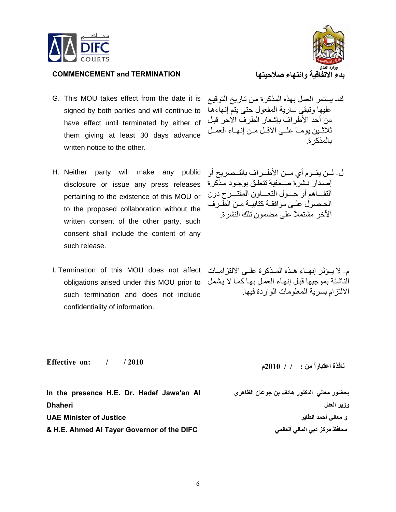

## **COMMENCEMENT** and **TERMINATION**

- G. This MOU takes effect from the date it is signed by both parties and will continue to have effect until terminated by either of them giving at least 30 days advance written notice to the other.
- H. Neither party will make any public disclosure or issue any press releases إصدار نشرة صحفية تتعلق بوجود مذكرة pertaining to the existence of this MOU or to the proposed collaboration without the written consent of the other party, such consent shall include the content of any such release.
- م- لا يـؤثر إنهـاء هـذه المـذكرة علـى الالتزامـات I. Termination of this MOU does not affect such termination and does not include confidentiality of information.



- ك- يستمر العمل بهذه المذكرة من تـاريخ التوقيـع عليها وتبقى سارية المفعول حتى يتم إنهاءهѧا من أحد الأطراف بإشعار الطرف الآخر قبل ثلاثين يومـاً علـي الأقـل مـن إنهـاء العمـل بالمذكر ة
- ل- لمـن يقــوم أي مــن الأطــراف بالتــصريح أو التفاهم أو حسول التعساون المقتسرح دون الحـصول علـي موافقـة كتابيـة مـن الطّرف الآخر مشتملاً على مضمون تلك النشرة .

الناشئة بموجبها قبل إنهاء العمل بها كمـا لا يشمل obligations arised under this MOU prior to الالتز ام بسر بة المعلومات الوار دة فيها

**Effective on: / / 2010** 

**In the presence H.E. Dr. Hadef Jawa'an Al Dhaheri UAE Minister of Justice & H.E. Ahmed Al Tayer Governor of the DIFC** 

**نافذة اعتباراً من : / 2010 / م**

**بحضور معالي الدآتور هادف بن جوعان الظاهري وزير العدل و معالي أحمد الطاير محافظ مرآز دبي المالي العالمي**